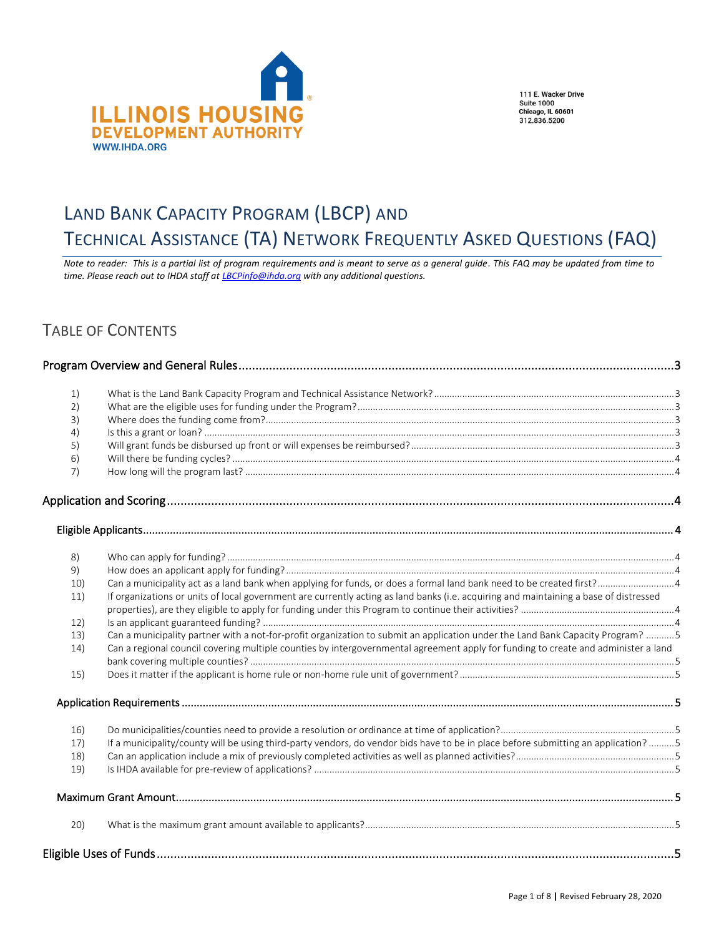

111 E. Wacker Drive **Suite 1000** Suite 1000<br>Chicago, IL 60601<br>312.836.5200

# <span id="page-0-0"></span>LAND BANK CAPACITY PROGRAM (LBCP) AND

# TECHNICAL ASSISTANCE (TA) NETWORK FREQUENTLY ASKED QUESTIONS (FAQ)

*Note to reader: This is a partial list of program requirements and is meant to serve as a general guide. This FAQ may be updated from time to time. Please reach out to IHDA staff at [LBCPinfo@ihda.org](mailto:LBCPinfo@ihda.org) with any additional questions.*

## TABLE OF CONTENTS

| 1)       |                                                                                                                                       |  |
|----------|---------------------------------------------------------------------------------------------------------------------------------------|--|
| 2)       |                                                                                                                                       |  |
| 3)       |                                                                                                                                       |  |
| 4)       |                                                                                                                                       |  |
| 5)       |                                                                                                                                       |  |
| 6)<br>7) |                                                                                                                                       |  |
|          |                                                                                                                                       |  |
|          |                                                                                                                                       |  |
|          |                                                                                                                                       |  |
| 8)       |                                                                                                                                       |  |
| 9)       |                                                                                                                                       |  |
| 10)      |                                                                                                                                       |  |
| 11)      | If organizations or units of local government are currently acting as land banks (i.e. acquiring and maintaining a base of distressed |  |
|          |                                                                                                                                       |  |
| 12)      |                                                                                                                                       |  |
| 13)      | Can a municipality partner with a not-for-profit organization to submit an application under the Land Bank Capacity Program? 5        |  |
| 14)      | Can a regional council covering multiple counties by intergovernmental agreement apply for funding to create and administer a land    |  |
|          |                                                                                                                                       |  |
| 15)      |                                                                                                                                       |  |
|          |                                                                                                                                       |  |
| 16)      |                                                                                                                                       |  |
| 17)      | If a municipality/county will be using third-party vendors, do vendor bids have to be in place before submitting an application?5     |  |
| 18)      |                                                                                                                                       |  |
| 19)      |                                                                                                                                       |  |
|          |                                                                                                                                       |  |
| 20)      |                                                                                                                                       |  |
|          |                                                                                                                                       |  |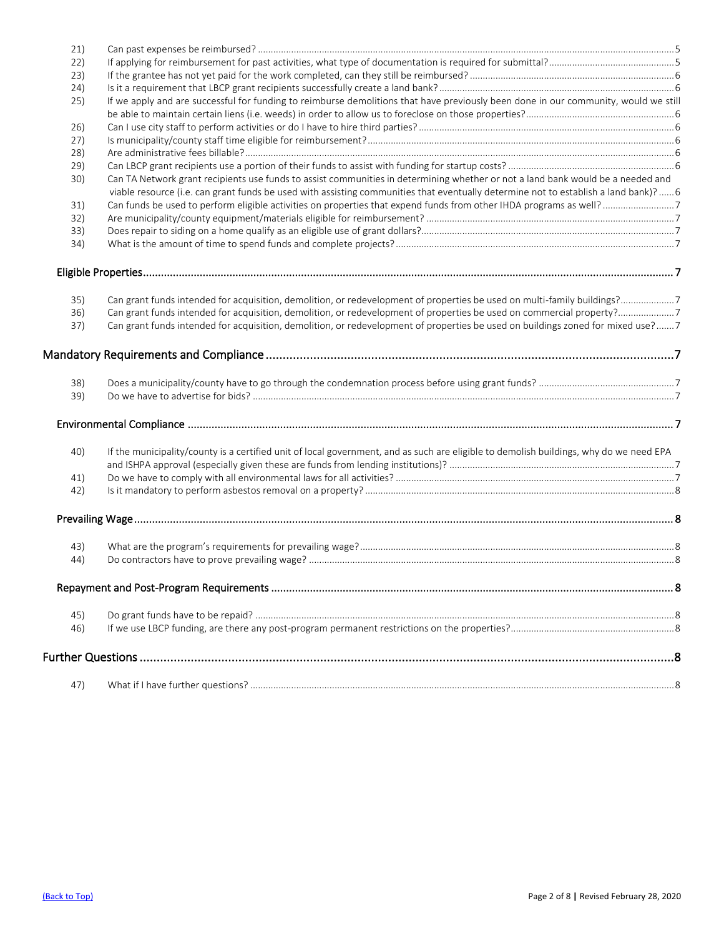| 21) |                                                                                                                                        |  |
|-----|----------------------------------------------------------------------------------------------------------------------------------------|--|
| 22) |                                                                                                                                        |  |
| 23) |                                                                                                                                        |  |
| 24) |                                                                                                                                        |  |
| 25) | If we apply and are successful for funding to reimburse demolitions that have previously been done in our community, would we still    |  |
|     |                                                                                                                                        |  |
| 26) |                                                                                                                                        |  |
| 27) |                                                                                                                                        |  |
| 28) |                                                                                                                                        |  |
| 29) |                                                                                                                                        |  |
| 30) | Can TA Network grant recipients use funds to assist communities in determining whether or not a land bank would be a needed and        |  |
|     | viable resource (i.e. can grant funds be used with assisting communities that eventually determine not to establish a land bank)? 6    |  |
| 31) |                                                                                                                                        |  |
| 32) |                                                                                                                                        |  |
| 33) |                                                                                                                                        |  |
| 34) |                                                                                                                                        |  |
|     |                                                                                                                                        |  |
|     |                                                                                                                                        |  |
|     |                                                                                                                                        |  |
| 35) | Can grant funds intended for acquisition, demolition, or redevelopment of properties be used on multi-family buildings?7               |  |
| 36) |                                                                                                                                        |  |
| 37) | Can grant funds intended for acquisition, demolition, or redevelopment of properties be used on buildings zoned for mixed use?7        |  |
|     |                                                                                                                                        |  |
| 38) |                                                                                                                                        |  |
| 39) |                                                                                                                                        |  |
|     |                                                                                                                                        |  |
| 40) | If the municipality/county is a certified unit of local government, and as such are eligible to demolish buildings, why do we need EPA |  |
|     |                                                                                                                                        |  |
| 41) |                                                                                                                                        |  |
| 42) |                                                                                                                                        |  |
|     |                                                                                                                                        |  |
|     |                                                                                                                                        |  |
| 43) |                                                                                                                                        |  |
| 44) |                                                                                                                                        |  |
|     |                                                                                                                                        |  |
|     |                                                                                                                                        |  |
| 45) |                                                                                                                                        |  |
| 46) |                                                                                                                                        |  |
|     |                                                                                                                                        |  |
|     |                                                                                                                                        |  |
| 47) |                                                                                                                                        |  |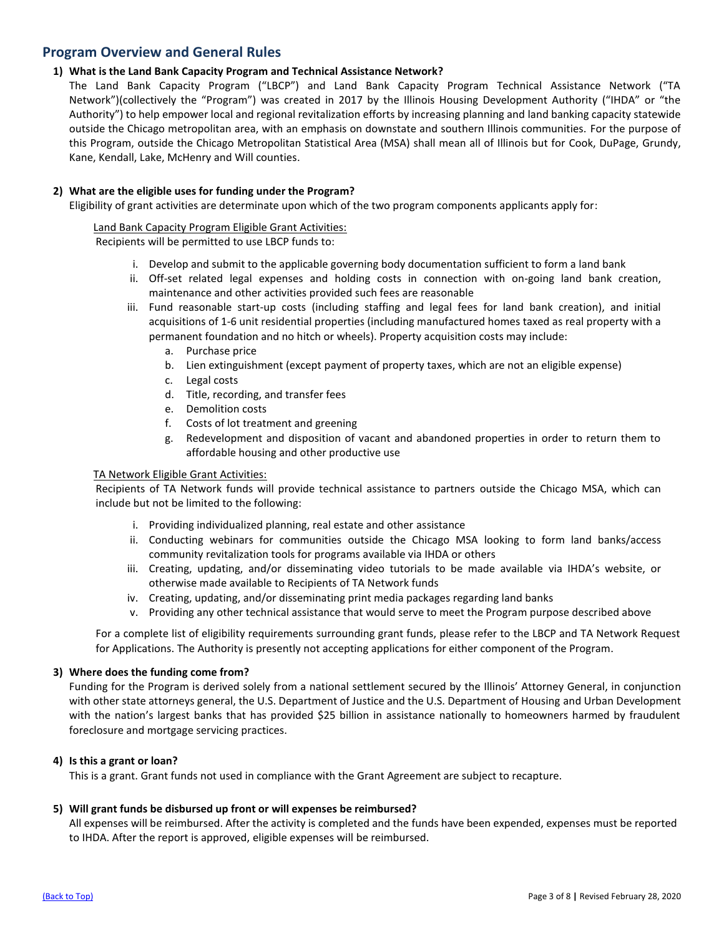## <span id="page-2-0"></span>**Program Overview and General Rules**

## <span id="page-2-1"></span>**1) What is the Land Bank Capacity Program and Technical Assistance Network?**

The Land Bank Capacity Program ("LBCP") and Land Bank Capacity Program Technical Assistance Network ("TA Network")(collectively the "Program") was created in 2017 by the Illinois Housing Development Authority ("IHDA" or "the Authority") to help empower local and regional revitalization efforts by increasing planning and land banking capacity statewide outside the Chicago metropolitan area, with an emphasis on downstate and southern Illinois communities. For the purpose of this Program, outside the Chicago Metropolitan Statistical Area (MSA) shall mean all of Illinois but for Cook, DuPage, Grundy, Kane, Kendall, Lake, McHenry and Will counties.

## <span id="page-2-2"></span>**2) What are the eligible uses for funding under the Program?**

Eligibility of grant activities are determinate upon which of the two program components applicants apply for:

## Land Bank Capacity Program Eligible Grant Activities:

Recipients will be permitted to use LBCP funds to:

- i. Develop and submit to the applicable governing body documentation sufficient to form a land bank
- ii. Off-set related legal expenses and holding costs in connection with on-going land bank creation, maintenance and other activities provided such fees are reasonable
- iii. Fund reasonable start-up costs (including staffing and legal fees for land bank creation), and initial acquisitions of 1-6 unit residential properties (including manufactured homes taxed as real property with a permanent foundation and no hitch or wheels). Property acquisition costs may include:
	- a. Purchase price
	- b. Lien extinguishment (except payment of property taxes, which are not an eligible expense)
	- c. Legal costs
	- d. Title, recording, and transfer fees
	- e. Demolition costs
	- f. Costs of lot treatment and greening
	- g. Redevelopment and disposition of vacant and abandoned properties in order to return them to affordable housing and other productive use

## TA Network Eligible Grant Activities:

Recipients of TA Network funds will provide technical assistance to partners outside the Chicago MSA, which can include but not be limited to the following:

- i. Providing individualized planning, real estate and other assistance
- ii. Conducting webinars for communities outside the Chicago MSA looking to form land banks/access community revitalization tools for programs available via IHDA or others
- iii. Creating, updating, and/or disseminating video tutorials to be made available via IHDA's website, or otherwise made available to Recipients of TA Network funds
- iv. Creating, updating, and/or disseminating print media packages regarding land banks
- v. Providing any other technical assistance that would serve to meet the Program purpose described above

For a complete list of eligibility requirements surrounding grant funds, please refer to the LBCP and TA Network Request for Applications. The Authority is presently not accepting applications for either component of the Program.

## <span id="page-2-3"></span>**3) Where does the funding come from?**

Funding for the Program is derived solely from a national settlement secured by the Illinois' Attorney General, in conjunction with other state attorneys general, the U.S. Department of Justice and the U.S. Department of Housing and Urban Development with the nation's largest banks that has provided \$25 billion in assistance nationally to homeowners harmed by fraudulent foreclosure and mortgage servicing practices.

## <span id="page-2-4"></span>**4) Is this a grant or loan?**

This is a grant. Grant funds not used in compliance with the Grant Agreement are subject to recapture.

## <span id="page-2-5"></span>**5) Will grant funds be disbursed up front or will expenses be reimbursed?**

All expenses will be reimbursed. After the activity is completed and the funds have been expended, expenses must be reported to IHDA. After the report is approved, eligible expenses will be reimbursed.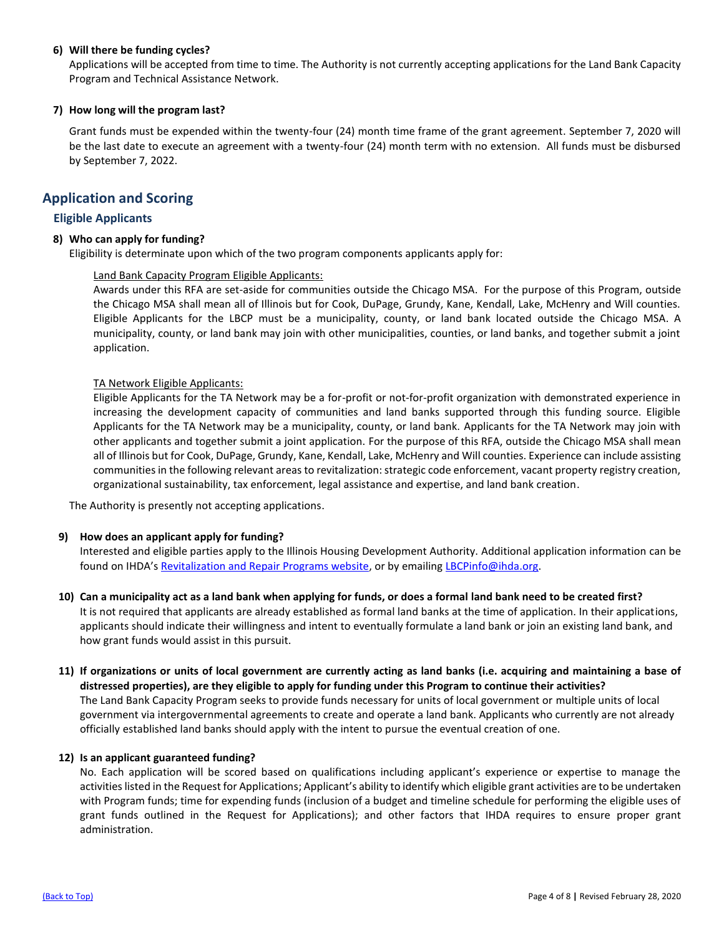## <span id="page-3-0"></span>**6) Will there be funding cycles?**

Applications will be accepted from time to time. The Authority is not currently accepting applications for the Land Bank Capacity Program and Technical Assistance Network.

## <span id="page-3-1"></span>**7) How long will the program last?**

Grant funds must be expended within the twenty-four (24) month time frame of the grant agreement. September 7, 2020 will be the last date to execute an agreement with a twenty-four (24) month term with no extension. All funds must be disbursed by September 7, 2022.

## <span id="page-3-2"></span>**Application and Scoring**

## <span id="page-3-3"></span>**Eligible Applicants**

## <span id="page-3-4"></span>**8) Who can apply for funding?**

Eligibility is determinate upon which of the two program components applicants apply for:

## Land Bank Capacity Program Eligible Applicants:

Awards under this RFA are set-aside for communities outside the Chicago MSA. For the purpose of this Program, outside the Chicago MSA shall mean all of Illinois but for Cook, DuPage, Grundy, Kane, Kendall, Lake, McHenry and Will counties. Eligible Applicants for the LBCP must be a municipality, county, or land bank located outside the Chicago MSA. A municipality, county, or land bank may join with other municipalities, counties, or land banks, and together submit a joint application.

## TA Network Eligible Applicants:

Eligible Applicants for the TA Network may be a for-profit or not-for-profit organization with demonstrated experience in increasing the development capacity of communities and land banks supported through this funding source. Eligible Applicants for the TA Network may be a municipality, county, or land bank. Applicants for the TA Network may join with other applicants and together submit a joint application. For the purpose of this RFA, outside the Chicago MSA shall mean all of Illinois but for Cook, DuPage, Grundy, Kane, Kendall, Lake, McHenry and Will counties. Experience can include assisting communities in the following relevant areas to revitalization: strategic code enforcement, vacant property registry creation, organizational sustainability, tax enforcement, legal assistance and expertise, and land bank creation.

The Authority is presently not accepting applications.

## <span id="page-3-5"></span>**9) How does an applicant apply for funding?**

Interested and eligible parties apply to the Illinois Housing Development Authority. Additional application information can be found on IHDA's [Revitalization and Repair Programs website,](https://www.ihda.org/my-community/revitalization-programs/) or by emailing [LBCPinfo@ihda.org.](mailto:LBCPinfo@ihda.org)

- <span id="page-3-6"></span>**10) Can a municipality act as a land bank when applying for funds, or does a formal land bank need to be created first?** It is not required that applicants are already established as formal land banks at the time of application. In their applications, applicants should indicate their willingness and intent to eventually formulate a land bank or join an existing land bank, and how grant funds would assist in this pursuit.
- <span id="page-3-7"></span>**11) If organizations or units of local government are currently acting as land banks (i.e. acquiring and maintaining a base of distressed properties), are they eligible to apply for funding under this Program to continue their activities?** The Land Bank Capacity Program seeks to provide funds necessary for units of local government or multiple units of local government via intergovernmental agreements to create and operate a land bank. Applicants who currently are not already officially established land banks should apply with the intent to pursue the eventual creation of one.

## <span id="page-3-8"></span>**12) Is an applicant guaranteed funding?**

No. Each application will be scored based on qualifications including applicant's experience or expertise to manage the activities listed in the Request for Applications; Applicant's ability to identify which eligible grant activities are to be undertaken with Program funds; time for expending funds (inclusion of a budget and timeline schedule for performing the eligible uses of grant funds outlined in the Request for Applications); and other factors that IHDA requires to ensure proper grant administration.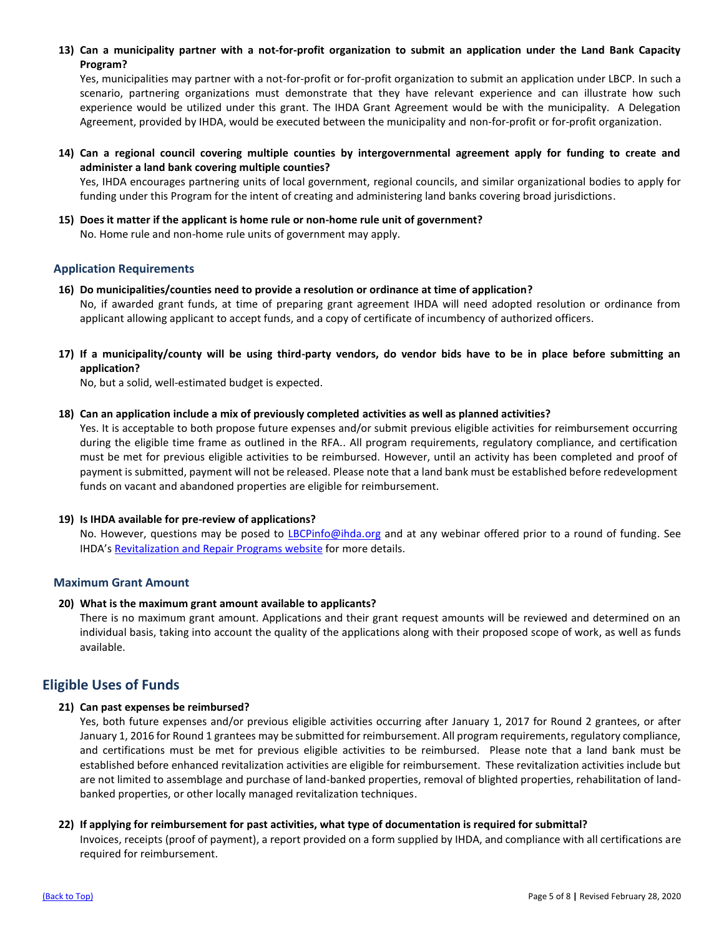<span id="page-4-0"></span>**13) Can a municipality partner with a not-for-profit organization to submit an application under the Land Bank Capacity Program?**

Yes, municipalities may partner with a not-for-profit or for-profit organization to submit an application under LBCP. In such a scenario, partnering organizations must demonstrate that they have relevant experience and can illustrate how such experience would be utilized under this grant. The IHDA Grant Agreement would be with the municipality. A Delegation Agreement, provided by IHDA, would be executed between the municipality and non-for-profit or for-profit organization.

<span id="page-4-1"></span>**14) Can a regional council covering multiple counties by intergovernmental agreement apply for funding to create and administer a land bank covering multiple counties?**

Yes, IHDA encourages partnering units of local government, regional councils, and similar organizational bodies to apply for funding under this Program for the intent of creating and administering land banks covering broad jurisdictions.

<span id="page-4-2"></span>**15) Does it matter if the applicant is home rule or non-home rule unit of government?** No. Home rule and non-home rule units of government may apply.

## <span id="page-4-3"></span>**Application Requirements**

- <span id="page-4-4"></span>**16) Do municipalities/counties need to provide a resolution or ordinance at time of application?** No, if awarded grant funds, at time of preparing grant agreement IHDA will need adopted resolution or ordinance from applicant allowing applicant to accept funds, and a copy of certificate of incumbency of authorized officers.
- <span id="page-4-5"></span>**17) If a municipality/county will be using third-party vendors, do vendor bids have to be in place before submitting an application?**

No, but a solid, well-estimated budget is expected.

<span id="page-4-6"></span>**18) Can an application include a mix of previously completed activities as well as planned activities?** 

Yes. It is acceptable to both propose future expenses and/or submit previous eligible activities for reimbursement occurring during the eligible time frame as outlined in the RFA.. All program requirements, regulatory compliance, and certification must be met for previous eligible activities to be reimbursed. However, until an activity has been completed and proof of payment is submitted, payment will not be released. Please note that a land bank must be established before redevelopment funds on vacant and abandoned properties are eligible for reimbursement.

## <span id="page-4-7"></span>**19) Is IHDA available for pre-review of applications?**

No. However, questions may be posed to [LBCPinfo@ihda.org](mailto:LBCPinfo@ihda.org) and at any webinar offered prior to a round of funding. See IHDA's [Revitalization and Repair Programs website](https://www.ihda.org/my-community/revitalization-programs/#collapseTwo) for more details.

## <span id="page-4-8"></span>**Maximum Grant Amount**

## <span id="page-4-9"></span>**20) What is the maximum grant amount available to applicants?**

There is no maximum grant amount. Applications and their grant request amounts will be reviewed and determined on an individual basis, taking into account the quality of the applications along with their proposed scope of work, as well as funds available.

## <span id="page-4-10"></span>**Eligible Uses of Funds**

## <span id="page-4-11"></span>**21) Can past expenses be reimbursed?**

Yes, both future expenses and/or previous eligible activities occurring after January 1, 2017 for Round 2 grantees, or after January 1, 2016 for Round 1 grantees may be submitted for reimbursement. All program requirements, regulatory compliance, and certifications must be met for previous eligible activities to be reimbursed. Please note that a land bank must be established before enhanced revitalization activities are eligible for reimbursement. These revitalization activities include but are not limited to assemblage and purchase of land-banked properties, removal of blighted properties, rehabilitation of landbanked properties, or other locally managed revitalization techniques.

## <span id="page-4-12"></span>**22) If applying for reimbursement for past activities, what type of documentation is required for submittal?**

Invoices, receipts (proof of payment), a report provided on a form supplied by IHDA, and compliance with all certifications are required for reimbursement.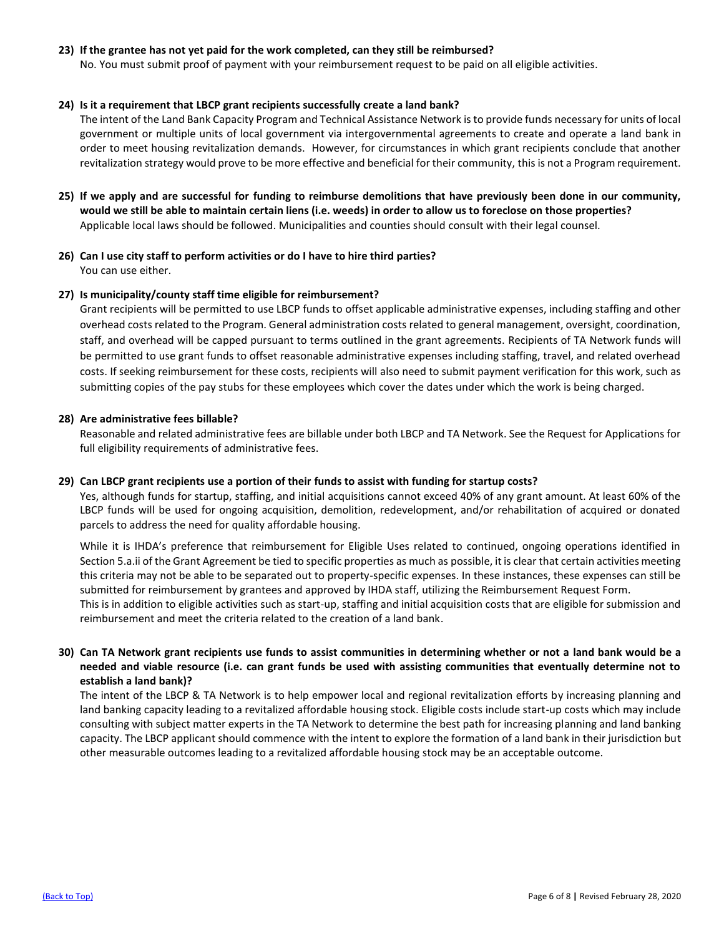## <span id="page-5-0"></span>**23) If the grantee has not yet paid for the work completed, can they still be reimbursed?**

No. You must submit proof of payment with your reimbursement request to be paid on all eligible activities.

#### <span id="page-5-1"></span>**24) Is it a requirement that LBCP grant recipients successfully create a land bank?**

The intent of the Land Bank Capacity Program and Technical Assistance Network is to provide funds necessary for units of local government or multiple units of local government via intergovernmental agreements to create and operate a land bank in order to meet housing revitalization demands. However, for circumstances in which grant recipients conclude that another revitalization strategy would prove to be more effective and beneficial for their community, this is not a Program requirement.

- <span id="page-5-2"></span>**25) If we apply and are successful for funding to reimburse demolitions that have previously been done in our community, would we still be able to maintain certain liens (i.e. weeds) in order to allow us to foreclose on those properties?**  Applicable local laws should be followed. Municipalities and counties should consult with their legal counsel.
- <span id="page-5-3"></span>**26) Can I use city staff to perform activities or do I have to hire third parties?** You can use either.

#### <span id="page-5-4"></span>**27) Is municipality/county staff time eligible for reimbursement?**

Grant recipients will be permitted to use LBCP funds to offset applicable administrative expenses, including staffing and other overhead costs related to the Program. General administration costs related to general management, oversight, coordination, staff, and overhead will be capped pursuant to terms outlined in the grant agreements. Recipients of TA Network funds will be permitted to use grant funds to offset reasonable administrative expenses including staffing, travel, and related overhead costs. If seeking reimbursement for these costs, recipients will also need to submit payment verification for this work, such as submitting copies of the pay stubs for these employees which cover the dates under which the work is being charged.

#### <span id="page-5-5"></span>**28) Are administrative fees billable?**

Reasonable and related administrative fees are billable under both LBCP and TA Network. See the Request for Applications for full eligibility requirements of administrative fees.

## <span id="page-5-6"></span>**29) Can LBCP grant recipients use a portion of their funds to assist with funding for startup costs?**

Yes, although funds for startup, staffing, and initial acquisitions cannot exceed 40% of any grant amount. At least 60% of the LBCP funds will be used for ongoing acquisition, demolition, redevelopment, and/or rehabilitation of acquired or donated parcels to address the need for quality affordable housing.

While it is IHDA's preference that reimbursement for Eligible Uses related to continued, ongoing operations identified in Section 5.a.ii of the Grant Agreement be tied to specific properties as much as possible, it is clear that certain activities meeting this criteria may not be able to be separated out to property-specific expenses. In these instances, these expenses can still be submitted for reimbursement by grantees and approved by IHDA staff, utilizing the Reimbursement Request Form. This is in addition to eligible activities such as start-up, staffing and initial acquisition costs that are eligible for submission and reimbursement and meet the criteria related to the creation of a land bank.

## <span id="page-5-7"></span>**30) Can TA Network grant recipients use funds to assist communities in determining whether or not a land bank would be a needed and viable resource (i.e. can grant funds be used with assisting communities that eventually determine not to establish a land bank)?**

The intent of the LBCP & TA Network is to help empower local and regional revitalization efforts by increasing planning and land banking capacity leading to a revitalized affordable housing stock. Eligible costs include start-up costs which may include consulting with subject matter experts in the TA Network to determine the best path for increasing planning and land banking capacity. The LBCP applicant should commence with the intent to explore the formation of a land bank in their jurisdiction but other measurable outcomes leading to a revitalized affordable housing stock may be an acceptable outcome.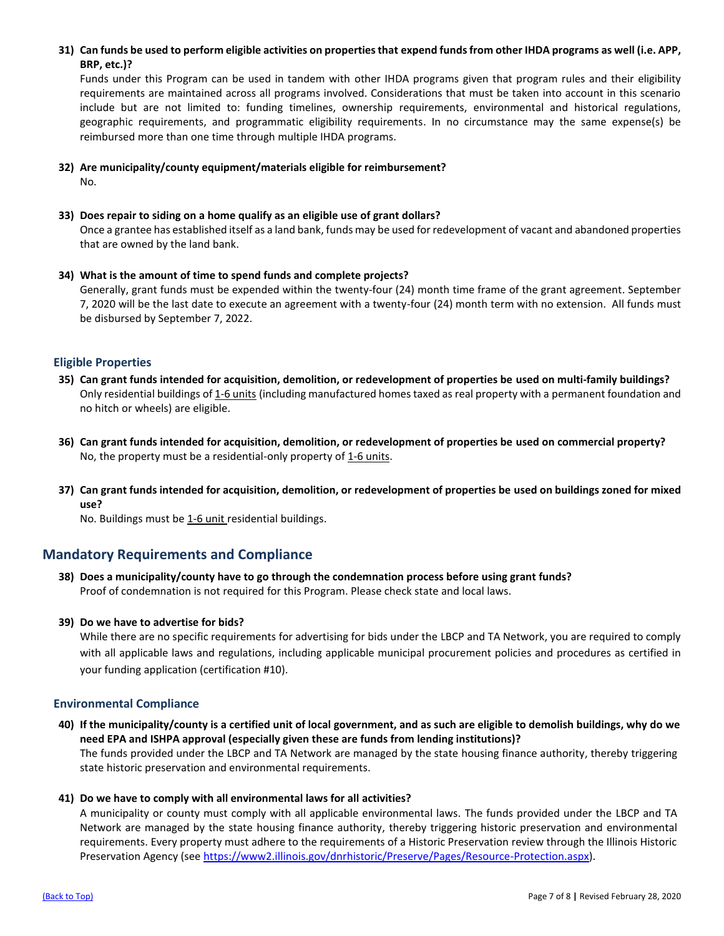<span id="page-6-0"></span>**31) Can funds be used to perform eligible activities on properties that expend funds from other IHDA programs as well (i.e. APP, BRP, etc.)?** 

Funds under this Program can be used in tandem with other IHDA programs given that program rules and their eligibility requirements are maintained across all programs involved. Considerations that must be taken into account in this scenario include but are not limited to: funding timelines, ownership requirements, environmental and historical regulations, geographic requirements, and programmatic eligibility requirements. In no circumstance may the same expense(s) be reimbursed more than one time through multiple IHDA programs.

- <span id="page-6-1"></span>**32) Are municipality/county equipment/materials eligible for reimbursement?**  No.
- <span id="page-6-2"></span>**33) Does repair to siding on a home qualify as an eligible use of grant dollars?**

Once a grantee has established itself as a land bank, funds may be used for redevelopment of vacant and abandoned properties that are owned by the land bank.

<span id="page-6-3"></span>**34) What is the amount of time to spend funds and complete projects?** 

Generally, grant funds must be expended within the twenty-four (24) month time frame of the grant agreement. September 7, 2020 will be the last date to execute an agreement with a twenty-four (24) month term with no extension. All funds must be disbursed by September 7, 2022.

## <span id="page-6-4"></span>**Eligible Properties**

- <span id="page-6-5"></span>**35) Can grant funds intended for acquisition, demolition, or redevelopment of properties be used on multi-family buildings?** Only residential buildings of 1-6 units (including manufactured homes taxed as real property with a permanent foundation and no hitch or wheels) are eligible.
- <span id="page-6-6"></span>**36) Can grant funds intended for acquisition, demolition, or redevelopment of properties be used on commercial property?** No, the property must be a residential-only property of 1-6 units.
- <span id="page-6-7"></span>**37) Can grant funds intended for acquisition, demolition, or redevelopment of properties be used on buildings zoned for mixed use?**

No. Buildings must be 1-6 unit residential buildings.

## <span id="page-6-8"></span>**Mandatory Requirements and Compliance**

- <span id="page-6-9"></span>**38) Does a municipality/county have to go through the condemnation process before using grant funds?** Proof of condemnation is not required for this Program. Please check state and local laws.
- <span id="page-6-10"></span>**39) Do we have to advertise for bids?**

While there are no specific requirements for advertising for bids under the LBCP and TA Network, you are required to comply with all applicable laws and regulations, including applicable municipal procurement policies and procedures as certified in your funding application (certification #10).

## <span id="page-6-11"></span>**Environmental Compliance**

- <span id="page-6-12"></span>**40) If the municipality/county is a certified unit of local government, and as such are eligible to demolish buildings, why do we need EPA and ISHPA approval (especially given these are funds from lending institutions)?** The funds provided under the LBCP and TA Network are managed by the state housing finance authority, thereby triggering state historic preservation and environmental requirements.
- <span id="page-6-13"></span>**41) Do we have to comply with all environmental laws for all activities?**

A municipality or county must comply with all applicable environmental laws. The funds provided under the LBCP and TA Network are managed by the state housing finance authority, thereby triggering historic preservation and environmental requirements. Every property must adhere to the requirements of a Historic Preservation review through the Illinois Historic Preservation Agency (see [https://www2.illinois.gov/dnrhistoric/Preserve/Pages/Resource-Protection.aspx\)](https://www2.illinois.gov/dnrhistoric/Preserve/Pages/Resource-Protection.aspx).